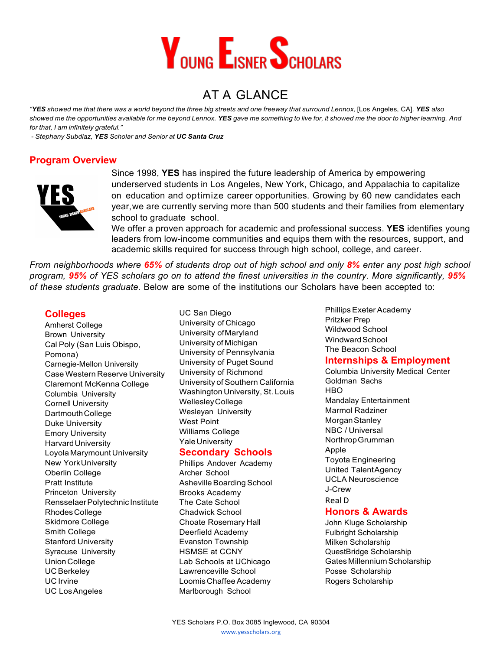

# AT A GLANCE

"YES showed me that there was a world beyond the three big streets and one freeway that surround Lennox, [Los Angeles, CA]. YES also showed me the opportunities available for me beyond Lennox. YES gave me something to live for, it showed me the door to higher learning. And *for that, I am infinitely grateful."*

- *Stephany Subdiaz, YES Scholar and Senior at UC Santa Cruz*

### **Program Overview**



Since 1998, **YES** has inspired the future leadership of America by empowering underserved students in Los Angeles, New York, Chicago, and Appalachia to capitalize on education and optimize career opportunities. Growing by 60 new candidates each year,we are currently serving more than 500 students and their families from elementary school to graduate school.

We offer a proven approach for academic and professional success. **YES** identifies young leaders from low-income communities and equips them with the resources, support, and academic skills required for success through high school, college, and career.

From neighborhoods where 65% of students drop out of high school and only 8% enter any post high school program, 95% of YES scholars go on to attend the finest universities in the country. More significantly, 95% *of these students graduate.* Below are some of the institutions our Scholars have been accepted to:

#### **Colleges**

Amherst College Brown University Cal Poly (San Luis Obispo, Pomona) Carnegie-Mellon University Case Western Reserve University Claremont McKenna College Columbia University Cornell University DartmouthCollege Duke University Emory University HarvardUniversity Loyola MarymountUniversity New YorkUniversity Oberlin College Pratt Institute Princeton University RensselaerPolytechnic Institute RhodesCollege Skidmore College Smith College Stanford University Syracuse University UnionCollege UC Berkeley UC Irvine UC LosAngeles

UC San Diego University of Chicago University ofMaryland University of Michigan University of Pennsylvania University of Puget Sound University of Richmond University of Southern California Washington University, St. Louis WellesleyCollege Wesleyan University West Point Williams College Yale University

#### **Secondary Schools**

Phillips Andover Academy Archer School Asheville Boarding School Brooks Academy The Cate School Chadwick School Choate Rosemary Hall Deerfield Academy Evanston Township HSMSE at CCNY Lab Schools at UChicago Lawrenceville School Loomis Chaffee Academy Marlborough School

Phillips Exeter Academy Pritzker Prep Wildwood School WindwardSchool The Beacon School

#### **Internships & Employment**

Columbia University Medical Center Goldman Sachs **HBO** Mandalay Entertainment Marmol Radziner MorganStanley NBC / Universal NorthropGrumman Apple Toyota Engineering United TalentAgency UCLA Neuroscience J-Crew Real D

#### **Honors & Awards**

John Kluge Scholarship Fulbright Scholarship Milken Scholarship QuestBridge Scholarship Gates Millennium Scholarship Posse Scholarship Rogers Scholarship